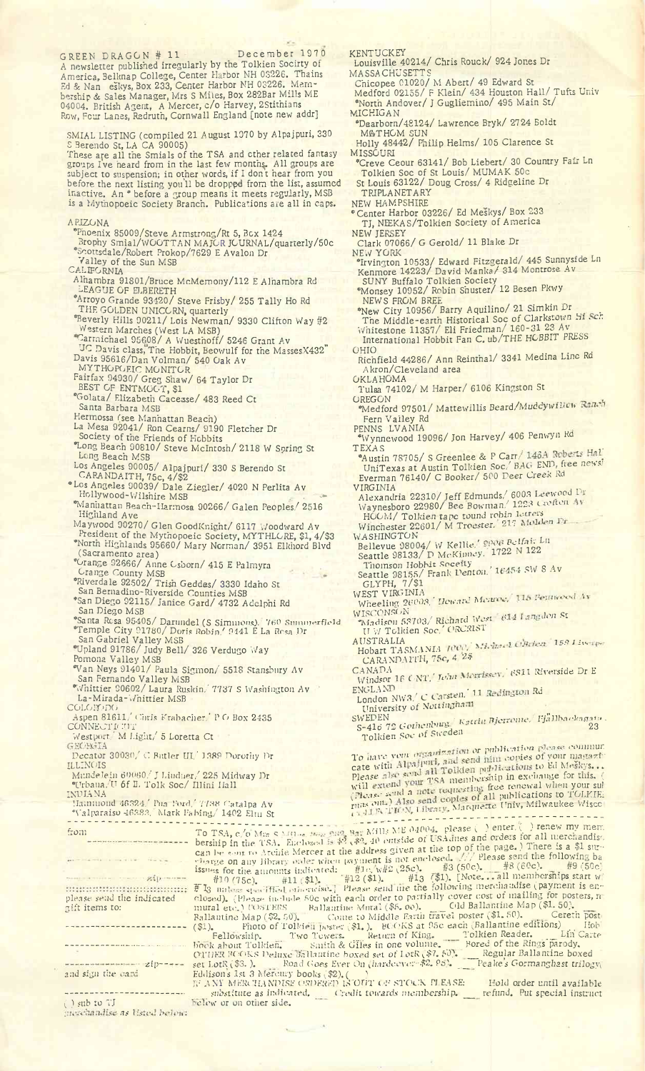GREEN DRAGON # 11 December 1970 A newsletter published irregularly by the Tolkien Socirty of America, Belknap College, Center Harbor NH 03226. Thains Ed & Nan eskys, Box 233, Center Harbor NH 03226. Membership & Sales Manager, Mrs S Miles, Box 282Bar Mills ME 04004. British Agent, A Mercer, c/o Harvey, 2Stithians Row, Four Lanes, Redruth, Cornwall England [note new addr]

SMIAL LISTING (compiled 21 August 1970 by Alpajpuri, 330

S Berendo St, LA CA 90005)<br>These are all the Smials of the TSA and other related fantasy groups I've heard from in the last few months. All groups are subject to suspension; in other words, if I dont hear from you before the next listing you'll be dropped from the list, assumed inactive. An \* before a group means it meets regularly, MSB is a Mythopoeic Society Branch. Publications are all in caps.

- ARIZONA
	- "Phoenix 85009/Steve Armstrong/Rt 5, Box 1424
	- Brophy Smial/WOOTTAN MAJOR JOURNAL/quarterly/50c "Scottsdale/Robert Prokop/7629 E Avalon Dr Valley of the Sun MSB
- CALIFORNIA
- Alhambra 91801/Bruce McMemony/112 E Alhambra Rd LEAGUE OF ELBERETH
- "Arroyo Grande 93420/ Steve Frisby/ 255 Tally Ho Rd
- THE GOLDEN UNICORN, quarterly
- "Beverly Hills 90211/ Lois Newman/ 9330 Clifton Way #2 Western Marches (West LA MSB)
- Carmichael 95608/ A Wuesthoff/ 5246 Grant Av DC Davis class, The Hobbit, Beowulf for the MassesX432" Davis 95616/Dan Volman/ 540 Oak Av
- mythopoeic monitor
- Fairfax 94930/ Greg Shaw/ 64 Taylor Dr
- BEST GF ENTMOGT, \$1
- "Golata/ Elizabeth Cacease/ 483 Reed Ct
- Santa Barbara MSB
- Hermossa (see Manhattan Beach)
- La Mesa 92041/ Ron Cearns/ 9190 Fletcher Dr Society of the Friends of Hobbits
- "Long Beach 90810/ Steve McIntosh/ 2118 W Soring St Long Beach MSB
- Los Angeles 90005/ Alpajpuri/ 330 S Berendo St CARANDAITH, 75c, 4/\$2
- "Los Angeles 90039/ Dale Ziegler/ 4020 N Perlita Av Hollywood-Wilshire MSB .. . \*
- "Manhattan Beach-Harmosa 90266/ Galen Peoples/ 2516 Highland Ave
- Maywood 90270/ Glen GoodKnight/ 6117 Woodward Av

President of the Mythopoeic Society, MYTHLORE, \$1, 4/\$3

"North Highlands 95660/ Mary Norman/ 3951 Elkhord Blvd (Sacramento area)

- "Orange 92666/ Anne Osborn/ 415 E Palmyra Grange County MSB
- "Riverdale 92502/ Trish Geddes/ 3330 Idaho St
- San Bernadino-Riverside Counties MSB
- "San Diego 92115/ Janice Gard/ 4732 Adelphi Rd San Diego MSB
- 
- "Santa Rosa 95405/ Darundel (S Simmons), 760 Summerfield<br>"Temple City 91780/ Doris Robin,' 9441 E La Rosa Dr San Gabriel Valley MSB
- "Upland 91786/ Judy Bell/ 326 Verdugo Way
- Pomona Valley MSB
- 
- "Van Neys 91401/ Paula Sigmon/' 5518 Stansbury Av San Fernando Valley MSB
- "Whittier 90602/ Laura Ruskin,' 7737 S Washington Av La-Mirada-Whittier MSB
- CÛLOK0DG
- Aspen 81611/' (Tin's Krabacher.' PG Box 2435 CONNECTIFITT
- Westport/M Light/<sup>5</sup> Loretta Ct

Decator 30030/C Butler III. 1389 Dorothy Dr ILLINOIS

- Mundelein 60060/J Lindner/ <sup>225</sup> Midway Dr «Urbaııa/U 6f IL Tolk Soc/ illini Hall
- INDIANA
- Hammond 46324/ Pua l\wd/7738 Catalpa Av
- "Valparaiso 46383. Mark Faking/ 1402 Elm St

from

zipplease send the indicated gift items to: --------------------------

 $zip$   $-$ 

and sign the ca.

( ) sub to TJ merchandise as listed below: **KENTUCKEY** 

- Louisville 40214/ Chris Rouck/ 924 Jones Dr MASSA CHUSETTS
	- Chicopee 01020/ M Abert/ 49 Edward St
- Medford 02155/ F Klein/ 434 Houston Hall/ Tufts Univ "North Andover/ J Gugliemino/ 495 Main St/
- MICHIGAN "Dearborn/48124/ Lawrence Bryk/ 27 24 Boldt
- M&THGM SUN Holly 48442/ Philip Helms/ 105 Clarence St MISSOURI
- "Creve Ceour 63141/ Bob Liebert/ 30 Country Fair Ln Tolkien Soc of St Louis/ MUMAK 50c
- St Louis 63122/ Doug Cross/ 4 Ridgeline Dr TRIPLANETARY
- NEW HAMPSHIRE
- "Center Harbor 03226/ Ed Meskys/ Box 233 TJ, NEEKAS/Tolkien Society of America
- NEW JERSEY Clark 07066/ G Gerold/ 11 Blake Dr<br>NEW YORK
	- NEW YORK<br>\*Irvington 10533/ Edward Fitzgerald/ 445 Sunnyside Ln Kenmore 14223/ David Manka/ 314 Montrose Av
	- SUNY Buffalo Tolkien Society "Monsey 10952/ Robin Shuster/ 12 Besen Pkwy
	- NEWS FROM BREE , , , , , al  $\sinh$ "New City 10956/ Barry Aquilino/ 21 Simkin Dr \_
	- The Middle-earth Historical Soc of Clarkstown hi . *cr.* Whitestone 11357/ Eli Friedman/ 160-31 23 Av International Hobbit Fan C. ub/THE HOBBIT PRESS
- OHIO
- Richfield 44286/ Ann Reinthal/ 3341 Medina Line Rd Akron/Cleveland area **OKLAHOMA**
- Tulsa 74102/M Harper/ 6106 Kingston St<br>OREGON
- OREGON<br>"Medford 97501/ Mattewillis Beard/Mudcywillen Fern Valley Rd
- PENNS LVANIA<br>\*Wynnewood 19096/ Jon Harvey/ 406 Penwyn Rd
- TEXAS<br>**\*Austin 78705/ S Greenlee & P Carr/ 146A Roberts Hal**<br>UniTexas at Austin Tolkien Soc/ BAG END, fiee news!
- Everman 76140/ C Booker/ 500 Deer *Crees.* Rd VIRGINIA<br>Alexandria 22310/Jeff Edmunds/ 6003 Leewood Dr
- Waynesboro 22980/ Bee Bowman/ 1223 Crofton. HOOM/ Tolkien tape tound robin letters<br>Winchester 22601/ M Troester. 217 Model<br>WASHINGTON
	-
- Bellevue 98004/ <sup>W</sup> Kellie. *' Belfair* Ln Seattle 98133/ D McKinney. 1722 N 122
- Thomson Hobbit soceity Seattle 98155/ Frank Penton. ' <sup>16454</sup> SW <sup>8</sup> Av GLYPH, 7/\$l
- WEST VIRGINIA
- Wheeling 26003. *Howard Merry* WISCONSON News West 614 Langslein St
- '-Madison 53703/ Richard West U W Tolkien Soc/ ORCR1S1
- AUSTRALIA<br>Hobart TASMANIA 1000 XXI *15>1* **J Sv.**
- CANADA<br>CANADA<br>Windsor 16 ONT/*Lehn Merrissey, 6811 Riverside Dr E*
- ENGLAND<br>ENGLAND UNIX C Carsten. 11 Redington Rd
- 
- University of Nottingham
- SWEDEN *' ktiril' Rierrome,* ' F/âllbeckaca»» . S-416 72 GothcuNug ' 23 Tolkien Soc of Sweden

To have vom organization or publication please commun<br>To have vom organization or publication of your magazy<br>cate with Alpajputi, and send nim copies of your magazy Please also sond att an inchership in exchange for this. will extend your the requesting free renewal when your surface rend a note requesting free renewal when your surface.<br>(Piease send a note requesting free renewal when TOI.KIE

 $u_1$  Mills ME 04004, please ( ) enter. ( ) renew my mem \$2, \$2,40 outside of USA mes and orders for all merchandisc the address given at the top of the page.) There is a \$1 sur can be some to atchine weiter at the address series enclosed. . . . // Please send the following ba issues for the amounts indicated:  $#10$ ,  $\sqrt{42}$  (25c),  $#3$  (50c),  $#8$  (60c),  $#9$  (50c)<br> $#10$  (75c),  $#11$  (\$1),  $#12$  (\$1),  $#13$  (\$1), [Note, all memberships start w<br> $#10$  (75c),  $#11$  (\$1),  $#12$  (\$1),  $#13$  (\$1), closed). (Please include 50c with each order to partially cover cost of mailing for posters, n<br>mural etc.) POSTERS Ballantine Mural (\$5.00). \_\_\_\_\_ Old Ballantine Map (\$1.50). E I<sub>3</sub> unless specified with travise.] Please send me the following merchandise (payment is enclosed). (Please include 50c with each order to partially cover cost of mailing for posters, r mural etc.) POSTERS Ballantine Ma Fellowship. Two Towers. Return of King. Tolkien Reader. Lin Carte book about Tolkien. Smith & Giles in one volume. Bored of the Rings parody. To TSA, c/o Ml» S Vil..», -- bership in the TSA. Enclosed can be sont to Archie Mercer at

OTHER BOOKS Deluxe Ballantine boxed set of LotR (\$7. 50). \_\_\_\_Regular Ballantine boxed<br>set LotR (\$3. ). \_\_\_\_\_Road Goes Ever On *(hardcever-\$2. 95).* \_\_\_\_\_Peake's Gormanghast trilog Eddisons 1st 3 Mercury books (\$2). ( <sup>1</sup> IF ANT MERCHANDISE ORDERED ıS'OIİ'1' <sup>&</sup>lt;M STOCK PLEASE: Hold order until available

substitute as indicated. .( 'red*it towards membership.* \_\_\_ refund. Put special instruct elew or on other side.